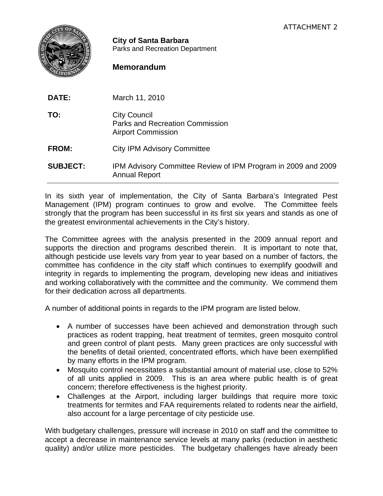

**City of Santa Barbara** Parks and Recreation Department

## **Memorandum**

| DATE:           | March 11, 2010                                                                        |
|-----------------|---------------------------------------------------------------------------------------|
| TO:             | <b>City Council</b><br>Parks and Recreation Commission<br><b>Airport Commission</b>   |
| <b>FROM:</b>    | <b>City IPM Advisory Committee</b>                                                    |
| <b>SUBJECT:</b> | IPM Advisory Committee Review of IPM Program in 2009 and 2009<br><b>Annual Report</b> |

In its sixth year of implementation, the City of Santa Barbara's Integrated Pest Management (IPM) program continues to grow and evolve. The Committee feels strongly that the program has been successful in its first six years and stands as one of the greatest environmental achievements in the City's history.

The Committee agrees with the analysis presented in the 2009 annual report and supports the direction and programs described therein. It is important to note that, although pesticide use levels vary from year to year based on a number of factors, the committee has confidence in the city staff which continues to exemplify goodwill and integrity in regards to implementing the program, developing new ideas and initiatives and working collaboratively with the committee and the community. We commend them for their dedication across all departments.

A number of additional points in regards to the IPM program are listed below.

- A number of successes have been achieved and demonstration through such practices as rodent trapping, heat treatment of termites, green mosquito control and green control of plant pests. Many green practices are only successful with the benefits of detail oriented, concentrated efforts, which have been exemplified by many efforts in the IPM program.
- Mosquito control necessitates a substantial amount of material use, close to 52% of all units applied in 2009. This is an area where public health is of great concern; therefore effectiveness is the highest priority.
- Challenges at the Airport, including larger buildings that require more toxic treatments for termites and FAA requirements related to rodents near the airfield, also account for a large percentage of city pesticide use.

With budgetary challenges, pressure will increase in 2010 on staff and the committee to accept a decrease in maintenance service levels at many parks (reduction in aesthetic quality) and/or utilize more pesticides. The budgetary challenges have already been